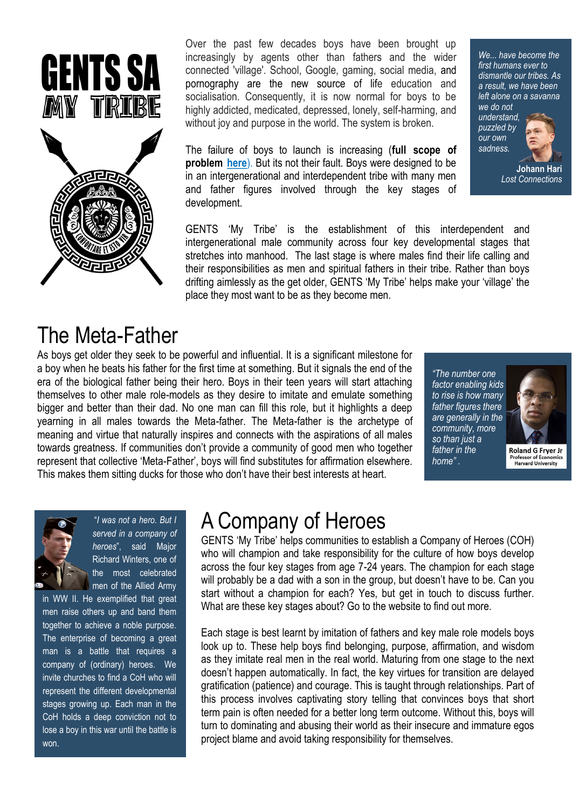

Over the past few decades boys have been brought up increasingly by agents other than fathers and the wider connected 'village'. School, Google, gaming, social media, and pornography are the new source of life education and socialisation. Consequently, it is now normal for boys to be highly addicted, medicated, depressed, lonely, self-harming, and without joy and purpose in the world. The system is broken.

The failure of boys to launch is increasing (**full scope of problem [here](https://www.wired-youth.com/gents-my-tribe)**). But its not their fault. Boys were designed to be in an intergenerational and interdependent tribe with many men and father figures involved through the key stages of development.

GENTS 'My Tribe' is the establishment of this interdependent and intergenerational male community across four key developmental stages that stretches into manhood. The last stage is where males find their life calling and their responsibilities as men and spiritual fathers in their tribe. Rather than boys drifting aimlessly as the get older, GENTS 'My Tribe' helps make your 'village' the place they most want to be as they become men.

#### *We... have become the first humans ever to dismantle our tribes. As a result, we have been left alone on a savanna*

*we do not understand, puzzled by our own sadness.* 



**Johann Hari** *Lost Connections*

## The Meta-Father

As boys get older they seek to be powerful and influential. It is a significant milestone for a boy when he beats his father for the first time at something. But it signals the end of the era of the biological father being their hero. Boys in their teen years will start attaching themselves to other male role-models as they desire to imitate and emulate something bigger and better than their dad. No one man can fill this role, but it highlights a deep yearning in all males towards the Meta-father. The Meta-father is the archetype of meaning and virtue that naturally inspires and connects with the aspirations of all males towards greatness. If communities don't provide a community of good men who together represent that collective 'Meta-Father', boys will find substitutes for affirmation elsewhere. This makes them sitting ducks for those who don't have their best interests at heart.

*"The number one factor enabling kids to rise is how many father figures there are generally in the community, more so than just a father in the home" .*



**Roland G Fryer Jr Professor of Economics** Harvard University



"*I was not a hero. But I served in a company of heroes*", said Major Richard Winters, one of the most celebrated men of the Allied Army

in WW II. He exemplified that great men raise others up and band them together to achieve a noble purpose. The enterprise of becoming a great man is a battle that requires a company of (ordinary) heroes. We invite churches to find a CoH who will represent the different developmental stages growing up. Each man in the CoH holds a deep conviction not to lose a boy in this war until the battle is won.

# A Company of Heroes

GENTS 'My Tribe' helps communities to establish a Company of Heroes (COH) who will champion and take responsibility for the culture of how boys develop across the four key stages from age 7-24 years. The champion for each stage will probably be a dad with a son in the group, but doesn't have to be. Can you start without a champion for each? Yes, but get in touch to discuss further. What are these key stages about? Go to the website to find out more.

Each stage is best learnt by imitation of fathers and key male role models boys look up to. These help boys find belonging, purpose, affirmation, and wisdom as they imitate real men in the real world. Maturing from one stage to the next doesn't happen automatically. In fact, the key virtues for transition are delayed gratification (patience) and courage. This is taught through relationships. Part of this process involves captivating story telling that convinces boys that short term pain is often needed for a better long term outcome. Without this, boys will turn to dominating and abusing their world as their insecure and immature egos project blame and avoid taking responsibility for themselves.